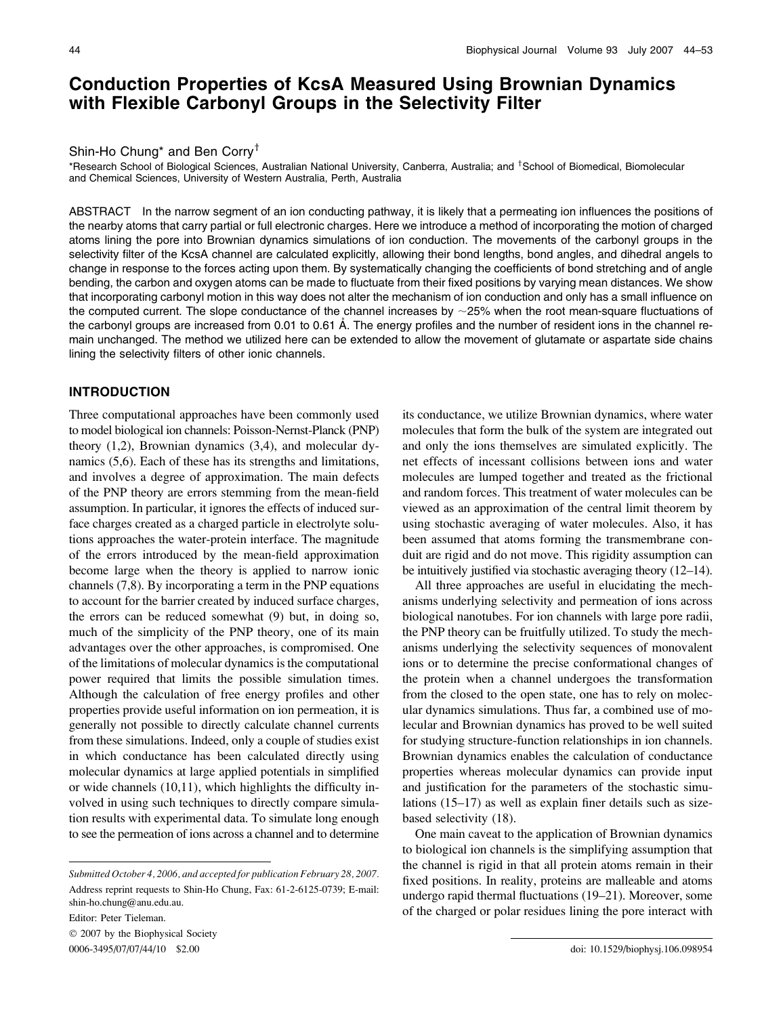# Conduction Properties of KcsA Measured Using Brownian Dynamics with Flexible Carbonyl Groups in the Selectivity Filter

#### Shin-Ho Chung\* and Ben Corry<sup>†</sup>

\*Research School of Biological Sciences, Australian National University, Canberra, Australia; and <sup>†</sup>School of Biomedical, Biomolecular and Chemical Sciences, University of Western Australia, Perth, Australia

ABSTRACT In the narrow segment of an ion conducting pathway, it is likely that a permeating ion influences the positions of the nearby atoms that carry partial or full electronic charges. Here we introduce a method of incorporating the motion of charged atoms lining the pore into Brownian dynamics simulations of ion conduction. The movements of the carbonyl groups in the selectivity filter of the KcsA channel are calculated explicitly, allowing their bond lengths, bond angles, and dihedral angels to change in response to the forces acting upon them. By systematically changing the coefficients of bond stretching and of angle bending, the carbon and oxygen atoms can be made to fluctuate from their fixed positions by varying mean distances. We show that incorporating carbonyl motion in this way does not alter the mechanism of ion conduction and only has a small influence on the computed current. The slope conductance of the channel increases by  $\sim$ 25% when the root mean-square fluctuations of the carbonyl groups are increased from 0.01 to 0.61 Å. The energy profiles and the number of resident ions in the channel remain unchanged. The method we utilized here can be extended to allow the movement of glutamate or aspartate side chains lining the selectivity filters of other ionic channels.

## INTRODUCTION

Three computational approaches have been commonly used to model biological ion channels: Poisson-Nernst-Planck (PNP) theory (1,2), Brownian dynamics (3,4), and molecular dynamics (5,6). Each of these has its strengths and limitations, and involves a degree of approximation. The main defects of the PNP theory are errors stemming from the mean-field assumption. In particular, it ignores the effects of induced surface charges created as a charged particle in electrolyte solutions approaches the water-protein interface. The magnitude of the errors introduced by the mean-field approximation become large when the theory is applied to narrow ionic channels (7,8). By incorporating a term in the PNP equations to account for the barrier created by induced surface charges, the errors can be reduced somewhat (9) but, in doing so, much of the simplicity of the PNP theory, one of its main advantages over the other approaches, is compromised. One of the limitations of molecular dynamics is the computational power required that limits the possible simulation times. Although the calculation of free energy profiles and other properties provide useful information on ion permeation, it is generally not possible to directly calculate channel currents from these simulations. Indeed, only a couple of studies exist in which conductance has been calculated directly using molecular dynamics at large applied potentials in simplified or wide channels (10,11), which highlights the difficulty involved in using such techniques to directly compare simulation results with experimental data. To simulate long enough to see the permeation of ions across a channel and to determine its conductance, we utilize Brownian dynamics, where water molecules that form the bulk of the system are integrated out and only the ions themselves are simulated explicitly. The net effects of incessant collisions between ions and water molecules are lumped together and treated as the frictional and random forces. This treatment of water molecules can be viewed as an approximation of the central limit theorem by using stochastic averaging of water molecules. Also, it has been assumed that atoms forming the transmembrane conduit are rigid and do not move. This rigidity assumption can be intuitively justified via stochastic averaging theory (12–14).

All three approaches are useful in elucidating the mechanisms underlying selectivity and permeation of ions across biological nanotubes. For ion channels with large pore radii, the PNP theory can be fruitfully utilized. To study the mechanisms underlying the selectivity sequences of monovalent ions or to determine the precise conformational changes of the protein when a channel undergoes the transformation from the closed to the open state, one has to rely on molecular dynamics simulations. Thus far, a combined use of molecular and Brownian dynamics has proved to be well suited for studying structure-function relationships in ion channels. Brownian dynamics enables the calculation of conductance properties whereas molecular dynamics can provide input and justification for the parameters of the stochastic simulations (15–17) as well as explain finer details such as sizebased selectivity (18).

One main caveat to the application of Brownian dynamics to biological ion channels is the simplifying assumption that the channel is rigid in that all protein atoms remain in their fixed positions. In reality, proteins are malleable and atoms undergo rapid thermal fluctuations (19–21). Moreover, some of the charged or polar residues lining the pore interact with

Submitted October 4, 2006, and accepted for publication February 28, 2007. Address reprint requests to Shin-Ho Chung, Fax: 61-2-6125-0739; E-mail: shin-ho.chung@anu.edu.au.

Editor: Peter Tieleman.  $© 2007$  by the Biophysical Society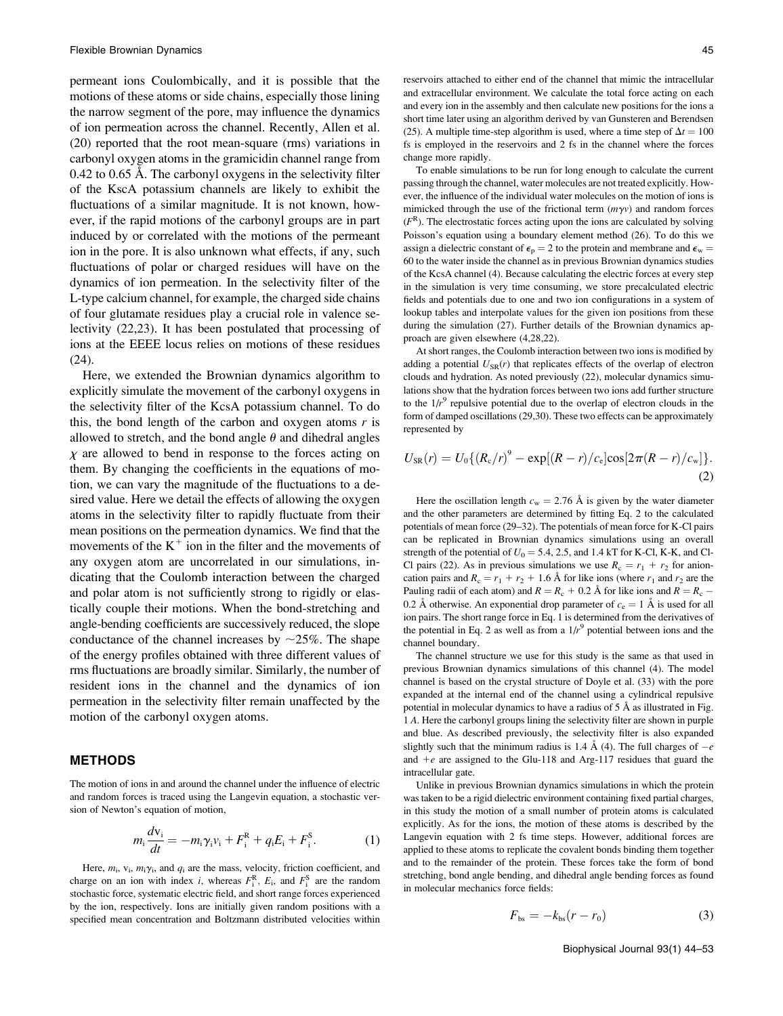permeant ions Coulombically, and it is possible that the motions of these atoms or side chains, especially those lining the narrow segment of the pore, may influence the dynamics of ion permeation across the channel. Recently, Allen et al. (20) reported that the root mean-square (rms) variations in carbonyl oxygen atoms in the gramicidin channel range from  $0.42$  to  $0.65$  Å. The carbonyl oxygens in the selectivity filter of the KscA potassium channels are likely to exhibit the fluctuations of a similar magnitude. It is not known, however, if the rapid motions of the carbonyl groups are in part induced by or correlated with the motions of the permeant ion in the pore. It is also unknown what effects, if any, such fluctuations of polar or charged residues will have on the dynamics of ion permeation. In the selectivity filter of the L-type calcium channel, for example, the charged side chains of four glutamate residues play a crucial role in valence selectivity (22,23). It has been postulated that processing of ions at the EEEE locus relies on motions of these residues (24).

Here, we extended the Brownian dynamics algorithm to explicitly simulate the movement of the carbonyl oxygens in the selectivity filter of the KcsA potassium channel. To do this, the bond length of the carbon and oxygen atoms  $r$  is allowed to stretch, and the bond angle  $\theta$  and dihedral angles  $\chi$  are allowed to bend in response to the forces acting on them. By changing the coefficients in the equations of motion, we can vary the magnitude of the fluctuations to a desired value. Here we detail the effects of allowing the oxygen atoms in the selectivity filter to rapidly fluctuate from their mean positions on the permeation dynamics. We find that the movements of the  $K^+$  ion in the filter and the movements of any oxygen atom are uncorrelated in our simulations, indicating that the Coulomb interaction between the charged and polar atom is not sufficiently strong to rigidly or elastically couple their motions. When the bond-stretching and angle-bending coefficients are successively reduced, the slope conductance of the channel increases by  $\sim$ 25%. The shape of the energy profiles obtained with three different values of rms fluctuations are broadly similar. Similarly, the number of resident ions in the channel and the dynamics of ion permeation in the selectivity filter remain unaffected by the motion of the carbonyl oxygen atoms.

#### METHODS

The motion of ions in and around the channel under the influence of electric and random forces is traced using the Langevin equation, a stochastic version of Newton's equation of motion,

$$
m_{i}\frac{dv_{i}}{dt} = -m_{i}\gamma_{i}v_{i} + F_{i}^{R} + q_{i}E_{i} + F_{i}^{S}.
$$
 (1)

Here,  $m_i$ ,  $v_i$ ,  $m_i \gamma_i$ , and  $q_i$  are the mass, velocity, friction coefficient, and charge on an ion with index *i*, whereas  $F_i^R$ ,  $E_i$ , and  $F_i^S$  are the random stochastic force, systematic electric field, and short range forces experienced by the ion, respectively. Ions are initially given random positions with a specified mean concentration and Boltzmann distributed velocities within reservoirs attached to either end of the channel that mimic the intracellular and extracellular environment. We calculate the total force acting on each and every ion in the assembly and then calculate new positions for the ions a short time later using an algorithm derived by van Gunsteren and Berendsen (25). A multiple time-step algorithm is used, where a time step of  $\Delta t = 100$ fs is employed in the reservoirs and 2 fs in the channel where the forces change more rapidly.

To enable simulations to be run for long enough to calculate the current passing through the channel, water molecules are not treated explicitly. However, the influence of the individual water molecules on the motion of ions is mimicked through the use of the frictional term  $(m\gamma v)$  and random forces  $(F<sup>R</sup>)$ . The electrostatic forces acting upon the ions are calculated by solving Poisson's equation using a boundary element method (26). To do this we assign a dielectric constant of  $\epsilon_p = 2$  to the protein and membrane and  $\epsilon_w =$ 60 to the water inside the channel as in previous Brownian dynamics studies of the KcsA channel (4). Because calculating the electric forces at every step in the simulation is very time consuming, we store precalculated electric fields and potentials due to one and two ion configurations in a system of lookup tables and interpolate values for the given ion positions from these during the simulation (27). Further details of the Brownian dynamics approach are given elsewhere (4,28,22).

At short ranges, the Coulomb interaction between two ions is modified by adding a potential  $U_{\text{SR}}(r)$  that replicates effects of the overlap of electron clouds and hydration. As noted previously (22), molecular dynamics simulations show that the hydration forces between two ions add further structure to the  $1/r^9$  repulsive potential due to the overlap of electron clouds in the form of damped oscillations (29,30). These two effects can be approximately represented by

$$
U_{\rm SR}(r) = U_0 \{ (R_{\rm c}/r)^9 - \exp[(R-r)/c_{\rm e}] \cos[2\pi (R-r)/c_{\rm w}] \}.
$$
\n(2)

Here the oscillation length  $c_w = 2.76$  Å is given by the water diameter and the other parameters are determined by fitting Eq. 2 to the calculated potentials of mean force (29–32). The potentials of mean force for K-Cl pairs can be replicated in Brownian dynamics simulations using an overall strength of the potential of  $U_0 = 5.4$ , 2.5, and 1.4 kT for K-Cl, K-K, and Cl-Cl pairs (22). As in previous simulations we use  $R_c = r_1 + r_2$  for anioncation pairs and  $R_c = r_1 + r_2 + 1.6$  Å for like ions (where  $r_1$  and  $r_2$  are the Pauling radii of each atom) and  $R = R_c + 0.2$  Å for like ions and  $R = R_c -$ 0.2 Å otherwise. An exponential drop parameter of  $c_e = 1$  Å is used for all ion pairs. The short range force in Eq. 1 is determined from the derivatives of the potential in Eq. 2 as well as from a  $1/r^9$  potential between ions and the channel boundary.

The channel structure we use for this study is the same as that used in previous Brownian dynamics simulations of this channel (4). The model channel is based on the crystal structure of Doyle et al. (33) with the pore expanded at the internal end of the channel using a cylindrical repulsive potential in molecular dynamics to have a radius of  $5 \text{ Å}$  as illustrated in Fig. 1 A. Here the carbonyl groups lining the selectivity filter are shown in purple and blue. As described previously, the selectivity filter is also expanded slightly such that the minimum radius is 1.4 Å (4). The full charges of  $-e$ and  $+e$  are assigned to the Glu-118 and Arg-117 residues that guard the intracellular gate.

Unlike in previous Brownian dynamics simulations in which the protein was taken to be a rigid dielectric environment containing fixed partial charges, in this study the motion of a small number of protein atoms is calculated explicitly. As for the ions, the motion of these atoms is described by the Langevin equation with 2 fs time steps. However, additional forces are applied to these atoms to replicate the covalent bonds binding them together and to the remainder of the protein. These forces take the form of bond stretching, bond angle bending, and dihedral angle bending forces as found in molecular mechanics force fields:

$$
F_{\rm bs} = -k_{\rm bs}(r - r_0) \tag{3}
$$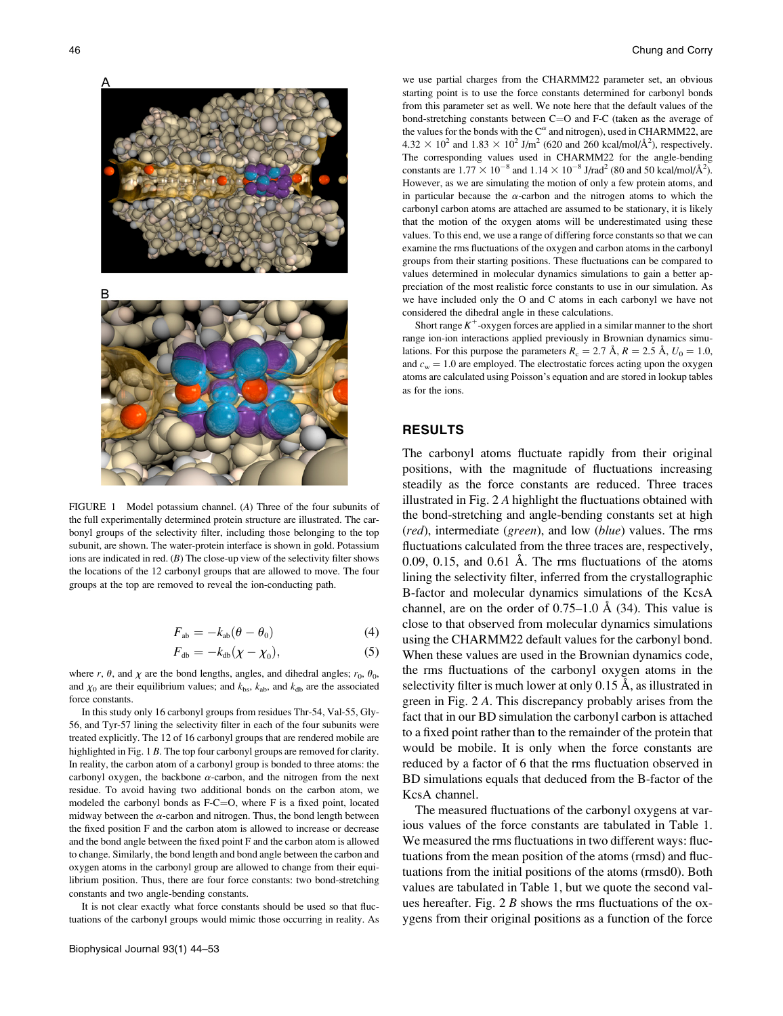

FIGURE 1 Model potassium channel. (A) Three of the four subunits of the full experimentally determined protein structure are illustrated. The carbonyl groups of the selectivity filter, including those belonging to the top subunit, are shown. The water-protein interface is shown in gold. Potassium ions are indicated in red.  $(B)$  The close-up view of the selectivity filter shows the locations of the 12 carbonyl groups that are allowed to move. The four groups at the top are removed to reveal the ion-conducting path.

$$
F_{ab} = -k_{ab}(\theta - \theta_0) \tag{4}
$$

$$
F_{\rm db} = -k_{\rm db}(\chi - \chi_0),\tag{5}
$$

where r,  $\theta$ , and  $\chi$  are the bond lengths, angles, and dihedral angles;  $r_0$ ,  $\theta_0$ , and  $\chi_0$  are their equilibrium values; and  $k_{\text{bs}}$ ,  $k_{\text{ab}}$ , and  $k_{\text{db}}$  are the associated force constants.

In this study only 16 carbonyl groups from residues Thr-54, Val-55, Gly-56, and Tyr-57 lining the selectivity filter in each of the four subunits were treated explicitly. The 12 of 16 carbonyl groups that are rendered mobile are highlighted in Fig. 1 B. The top four carbonyl groups are removed for clarity. In reality, the carbon atom of a carbonyl group is bonded to three atoms: the carbonyl oxygen, the backbone  $\alpha$ -carbon, and the nitrogen from the next residue. To avoid having two additional bonds on the carbon atom, we modeled the carbonyl bonds as F-C=O, where F is a fixed point, located midway between the  $\alpha$ -carbon and nitrogen. Thus, the bond length between the fixed position F and the carbon atom is allowed to increase or decrease and the bond angle between the fixed point F and the carbon atom is allowed to change. Similarly, the bond length and bond angle between the carbon and oxygen atoms in the carbonyl group are allowed to change from their equilibrium position. Thus, there are four force constants: two bond-stretching constants and two angle-bending constants.

It is not clear exactly what force constants should be used so that fluctuations of the carbonyl groups would mimic those occurring in reality. As we use partial charges from the CHARMM22 parameter set, an obvious starting point is to use the force constants determined for carbonyl bonds from this parameter set as well. We note here that the default values of the bond-stretching constants between  $C=O$  and F-C (taken as the average of the values for the bonds with the  $C^{\alpha}$  and nitrogen), used in CHARMM22, are  $4.32 \times 10^2$  and  $1.83 \times 10^2$  J/m<sup>2</sup> (620 and 260 kcal/mol/Å<sup>2</sup>), respectively. The corresponding values used in CHARMM22 for the angle-bending constants are  $1.77 \times 10^{-8}$  and  $1.14 \times 10^{-8}$  J/rad<sup>2</sup> (80 and 50 kcal/mol/Å<sup>2</sup>). However, as we are simulating the motion of only a few protein atoms, and in particular because the  $\alpha$ -carbon and the nitrogen atoms to which the carbonyl carbon atoms are attached are assumed to be stationary, it is likely that the motion of the oxygen atoms will be underestimated using these values. To this end, we use a range of differing force constants so that we can examine the rms fluctuations of the oxygen and carbon atoms in the carbonyl groups from their starting positions. These fluctuations can be compared to values determined in molecular dynamics simulations to gain a better appreciation of the most realistic force constants to use in our simulation. As we have included only the O and C atoms in each carbonyl we have not considered the dihedral angle in these calculations.

Short range  $K^+$ -oxygen forces are applied in a similar manner to the short range ion-ion interactions applied previously in Brownian dynamics simulations. For this purpose the parameters  $R_c = 2.7 \text{ Å}, R = 2.5 \text{ Å}, U_0 = 1.0$ , and  $c_w = 1.0$  are employed. The electrostatic forces acting upon the oxygen atoms are calculated using Poisson's equation and are stored in lookup tables as for the ions.

# RESULTS

The carbonyl atoms fluctuate rapidly from their original positions, with the magnitude of fluctuations increasing steadily as the force constants are reduced. Three traces illustrated in Fig. 2 A highlight the fluctuations obtained with the bond-stretching and angle-bending constants set at high (red), intermediate (green), and low (blue) values. The rms fluctuations calculated from the three traces are, respectively,  $0.09, 0.15,$  and  $0.61$  Å. The rms fluctuations of the atoms lining the selectivity filter, inferred from the crystallographic B-factor and molecular dynamics simulations of the KcsA channel, are on the order of  $0.75-1.0$  Å  $(34)$ . This value is close to that observed from molecular dynamics simulations using the CHARMM22 default values for the carbonyl bond. When these values are used in the Brownian dynamics code, the rms fluctuations of the carbonyl oxygen atoms in the selectivity filter is much lower at only  $0.15 \text{ Å}$ , as illustrated in green in Fig. 2 A. This discrepancy probably arises from the fact that in our BD simulation the carbonyl carbon is attached to a fixed point rather than to the remainder of the protein that would be mobile. It is only when the force constants are reduced by a factor of 6 that the rms fluctuation observed in BD simulations equals that deduced from the B-factor of the KcsA channel.

The measured fluctuations of the carbonyl oxygens at various values of the force constants are tabulated in Table 1. We measured the rms fluctuations in two different ways: fluctuations from the mean position of the atoms (rmsd) and fluctuations from the initial positions of the atoms (rmsd0). Both values are tabulated in Table 1, but we quote the second values hereafter. Fig. 2 B shows the rms fluctuations of the oxygens from their original positions as a function of the force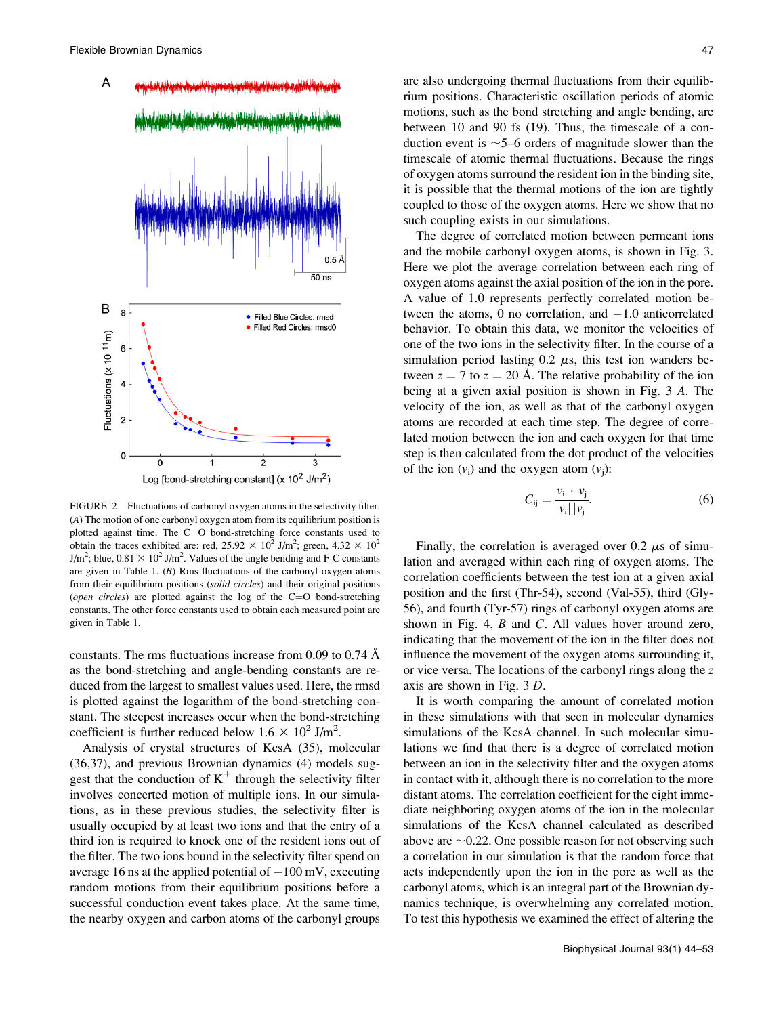

FIGURE 2 Fluctuations of carbonyl oxygen atoms in the selectivity filter. (A) The motion of one carbonyl oxygen atom from its equilibrium position is plotted against time. The  $C=O$  bond-stretching force constants used to obtain the traces exhibited are: red,  $25.92 \times 10^2$  J/m<sup>2</sup>; green,  $4.32 \times 10^2$ J/m<sup>2</sup>; blue,  $0.81 \times 10^2$  J/m<sup>2</sup>. Values of the angle bending and F-C constants are given in Table 1. (B) Rms fluctuations of the carbonyl oxygen atoms from their equilibrium positions (solid circles) and their original positions (open circles) are plotted against the log of the  $C=O$  bond-stretching constants. The other force constants used to obtain each measured point are given in Table 1.

constants. The rms fluctuations increase from 0.09 to 0.74  $\AA$ as the bond-stretching and angle-bending constants are reduced from the largest to smallest values used. Here, the rmsd is plotted against the logarithm of the bond-stretching constant. The steepest increases occur when the bond-stretching coefficient is further reduced below  $1.6 \times 10^2$  J/m<sup>2</sup>.

Analysis of crystal structures of KcsA (35), molecular (36,37), and previous Brownian dynamics (4) models suggest that the conduction of  $K^+$  through the selectivity filter involves concerted motion of multiple ions. In our simulations, as in these previous studies, the selectivity filter is usually occupied by at least two ions and that the entry of a third ion is required to knock one of the resident ions out of the filter. The two ions bound in the selectivity filter spend on average 16 ns at the applied potential of  $-100 \text{ mV}$ , executing random motions from their equilibrium positions before a successful conduction event takes place. At the same time, the nearby oxygen and carbon atoms of the carbonyl groups

are also undergoing thermal fluctuations from their equilibrium positions. Characteristic oscillation periods of atomic motions, such as the bond stretching and angle bending, are between 10 and 90 fs (19). Thus, the timescale of a conduction event is  $\sim$  5–6 orders of magnitude slower than the timescale of atomic thermal fluctuations. Because the rings of oxygen atoms surround the resident ion in the binding site, it is possible that the thermal motions of the ion are tightly coupled to those of the oxygen atoms. Here we show that no such coupling exists in our simulations.

The degree of correlated motion between permeant ions and the mobile carbonyl oxygen atoms, is shown in Fig. 3. Here we plot the average correlation between each ring of oxygen atoms against the axial position of the ion in the pore. A value of 1.0 represents perfectly correlated motion between the atoms,  $0$  no correlation, and  $-1.0$  anticorrelated behavior. To obtain this data, we monitor the velocities of one of the two ions in the selectivity filter. In the course of a simulation period lasting  $0.2 \mu s$ , this test ion wanders between  $z = 7$  to  $z = 20$  Å. The relative probability of the ion being at a given axial position is shown in Fig. 3 A. The velocity of the ion, as well as that of the carbonyl oxygen atoms are recorded at each time step. The degree of correlated motion between the ion and each oxygen for that time step is then calculated from the dot product of the velocities of the ion  $(v_i)$  and the oxygen atom  $(v_i)$ :

$$
C_{ij} = \frac{v_i \cdot v_j}{|v_i| |v_j|}.
$$
 (6)

Finally, the correlation is averaged over 0.2  $\mu$ s of simulation and averaged within each ring of oxygen atoms. The correlation coefficients between the test ion at a given axial position and the first (Thr-54), second (Val-55), third (Gly-56), and fourth (Tyr-57) rings of carbonyl oxygen atoms are shown in Fig. 4, B and C. All values hover around zero, indicating that the movement of the ion in the filter does not influence the movement of the oxygen atoms surrounding it, or vice versa. The locations of the carbonyl rings along the z axis are shown in Fig. 3 D.

It is worth comparing the amount of correlated motion in these simulations with that seen in molecular dynamics simulations of the KcsA channel. In such molecular simulations we find that there is a degree of correlated motion between an ion in the selectivity filter and the oxygen atoms in contact with it, although there is no correlation to the more distant atoms. The correlation coefficient for the eight immediate neighboring oxygen atoms of the ion in the molecular simulations of the KcsA channel calculated as described above are  $\sim$  0.22. One possible reason for not observing such a correlation in our simulation is that the random force that acts independently upon the ion in the pore as well as the carbonyl atoms, which is an integral part of the Brownian dynamics technique, is overwhelming any correlated motion. To test this hypothesis we examined the effect of altering the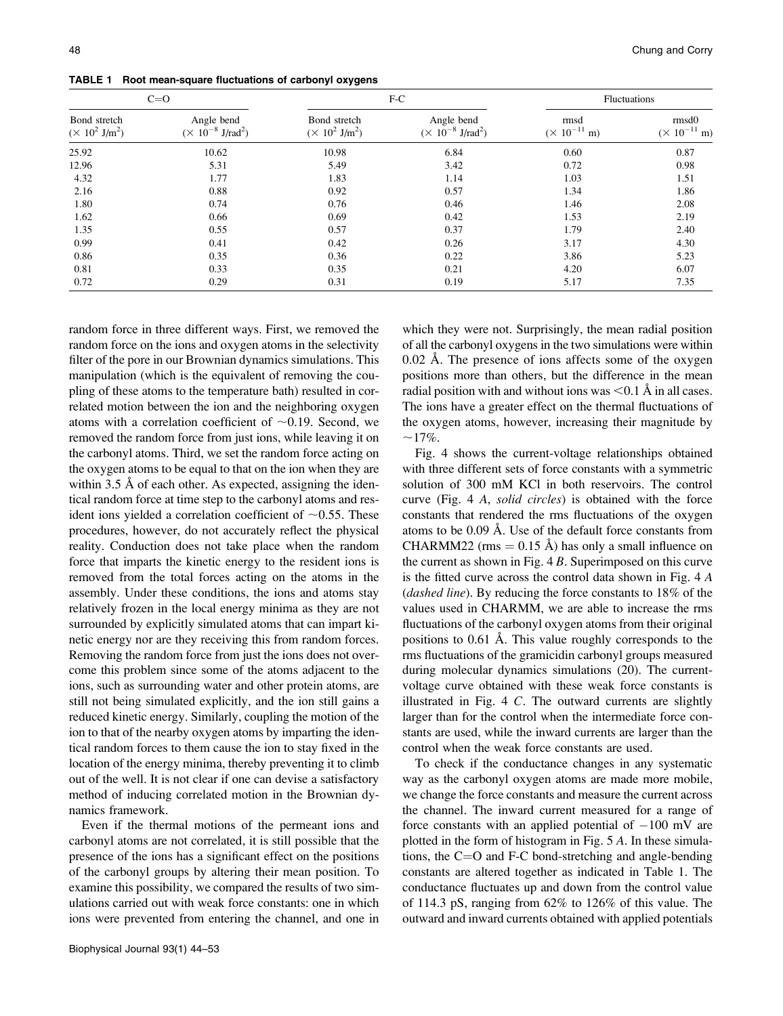TABLE 1 Root mean-square fluctuations of carbonyl oxygens

| $C=O$                                         |                                                  | $F-C$                                         |                                                  | <b>Fluctuations</b>                   |                                        |
|-----------------------------------------------|--------------------------------------------------|-----------------------------------------------|--------------------------------------------------|---------------------------------------|----------------------------------------|
| Bond stretch<br>$(\times 10^2 \text{ J/m}^2)$ | Angle bend<br>$(\times 10^{-8} \text{ J/rad}^2)$ | Bond stretch<br>$(\times 10^2 \text{ J/m}^2)$ | Angle bend<br>$(\times 10^{-8} \text{ J/rad}^2)$ | rmsd<br>$(\times 10^{-11} \text{ m})$ | rmsd0<br>$(\times 10^{-11} \text{ m})$ |
| 25.92                                         | 10.62                                            | 10.98                                         | 6.84                                             | 0.60                                  | 0.87                                   |
| 12.96                                         | 5.31                                             | 5.49                                          | 3.42                                             | 0.72                                  | 0.98                                   |
| 4.32                                          | 1.77                                             | 1.83                                          | 1.14                                             | 1.03                                  | 1.51                                   |
| 2.16                                          | 0.88                                             | 0.92                                          | 0.57                                             | 1.34                                  | 1.86                                   |
| 1.80                                          | 0.74                                             | 0.76                                          | 0.46                                             | 1.46                                  | 2.08                                   |
| 1.62                                          | 0.66                                             | 0.69                                          | 0.42                                             | 1.53                                  | 2.19                                   |
| 1.35                                          | 0.55                                             | 0.57                                          | 0.37                                             | 1.79                                  | 2.40                                   |
| 0.99                                          | 0.41                                             | 0.42                                          | 0.26                                             | 3.17                                  | 4.30                                   |
| 0.86                                          | 0.35                                             | 0.36                                          | 0.22                                             | 3.86                                  | 5.23                                   |
| 0.81                                          | 0.33                                             | 0.35                                          | 0.21                                             | 4.20                                  | 6.07                                   |
| 0.72                                          | 0.29                                             | 0.31                                          | 0.19                                             | 5.17                                  | 7.35                                   |

random force in three different ways. First, we removed the random force on the ions and oxygen atoms in the selectivity filter of the pore in our Brownian dynamics simulations. This manipulation (which is the equivalent of removing the coupling of these atoms to the temperature bath) resulted in correlated motion between the ion and the neighboring oxygen atoms with a correlation coefficient of  $\sim 0.19$ . Second, we removed the random force from just ions, while leaving it on the carbonyl atoms. Third, we set the random force acting on the oxygen atoms to be equal to that on the ion when they are within 3.5  $\AA$  of each other. As expected, assigning the identical random force at time step to the carbonyl atoms and resident ions yielded a correlation coefficient of  $\sim 0.55$ . These procedures, however, do not accurately reflect the physical reality. Conduction does not take place when the random force that imparts the kinetic energy to the resident ions is removed from the total forces acting on the atoms in the assembly. Under these conditions, the ions and atoms stay relatively frozen in the local energy minima as they are not surrounded by explicitly simulated atoms that can impart kinetic energy nor are they receiving this from random forces. Removing the random force from just the ions does not overcome this problem since some of the atoms adjacent to the ions, such as surrounding water and other protein atoms, are still not being simulated explicitly, and the ion still gains a reduced kinetic energy. Similarly, coupling the motion of the ion to that of the nearby oxygen atoms by imparting the identical random forces to them cause the ion to stay fixed in the location of the energy minima, thereby preventing it to climb out of the well. It is not clear if one can devise a satisfactory method of inducing correlated motion in the Brownian dynamics framework.

Even if the thermal motions of the permeant ions and carbonyl atoms are not correlated, it is still possible that the presence of the ions has a significant effect on the positions of the carbonyl groups by altering their mean position. To examine this possibility, we compared the results of two simulations carried out with weak force constants: one in which ions were prevented from entering the channel, and one in which they were not. Surprisingly, the mean radial position of all the carbonyl oxygens in the two simulations were within  $0.02$  Å. The presence of ions affects some of the oxygen positions more than others, but the difference in the mean radial position with and without ions was  $< 0.1$  Å in all cases. The ions have a greater effect on the thermal fluctuations of the oxygen atoms, however, increasing their magnitude by  $\sim$ 17%.

Fig. 4 shows the current-voltage relationships obtained with three different sets of force constants with a symmetric solution of 300 mM KCl in both reservoirs. The control curve (Fig. 4 A, solid circles) is obtained with the force constants that rendered the rms fluctuations of the oxygen atoms to be 0.09 Å. Use of the default force constants from CHARMM22 (rms =  $0.15 \text{ Å}$ ) has only a small influence on the current as shown in Fig. 4 B. Superimposed on this curve is the fitted curve across the control data shown in Fig. 4 A (dashed line). By reducing the force constants to 18% of the values used in CHARMM, we are able to increase the rms fluctuations of the carbonyl oxygen atoms from their original positions to  $0.61$  Å. This value roughly corresponds to the rms fluctuations of the gramicidin carbonyl groups measured during molecular dynamics simulations (20). The currentvoltage curve obtained with these weak force constants is illustrated in Fig. 4 C. The outward currents are slightly larger than for the control when the intermediate force constants are used, while the inward currents are larger than the control when the weak force constants are used.

To check if the conductance changes in any systematic way as the carbonyl oxygen atoms are made more mobile, we change the force constants and measure the current across the channel. The inward current measured for a range of force constants with an applied potential of  $-100$  mV are plotted in the form of histogram in Fig. 5 A. In these simulations, the  $C=O$  and F-C bond-stretching and angle-bending constants are altered together as indicated in Table 1. The conductance fluctuates up and down from the control value of 114.3 pS, ranging from 62% to 126% of this value. The outward and inward currents obtained with applied potentials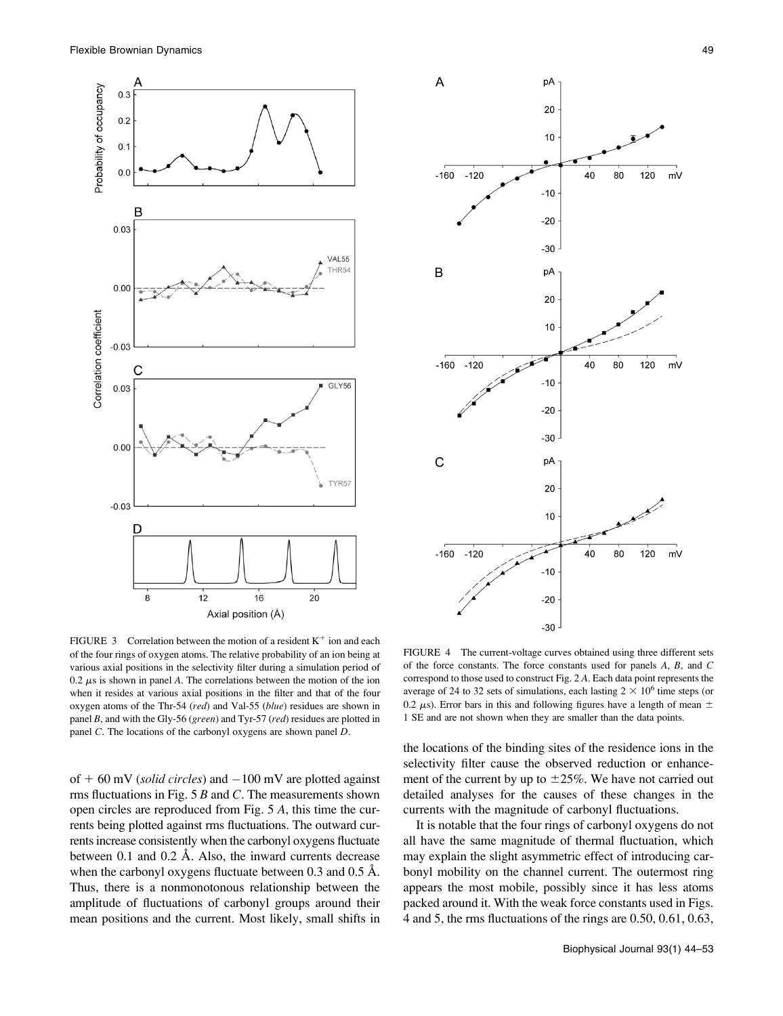



FIGURE 3 Correlation between the motion of a resident  $K^+$  ion and each of the four rings of oxygen atoms. The relative probability of an ion being at various axial positions in the selectivity filter during a simulation period of  $0.2 \mu s$  is shown in panel A. The correlations between the motion of the ion when it resides at various axial positions in the filter and that of the four oxygen atoms of the Thr-54 (red) and Val-55 (blue) residues are shown in panel B, and with the Gly-56 (green) and Tyr-57 (red) residues are plotted in panel C. The locations of the carbonyl oxygens are shown panel D.

of  $+60$  mV (solid circles) and  $-100$  mV are plotted against rms fluctuations in Fig.  $5 B$  and C. The measurements shown open circles are reproduced from Fig. 5 A, this time the currents being plotted against rms fluctuations. The outward currents increase consistently when the carbonyl oxygens fluctuate between  $0.1$  and  $0.2$  Å. Also, the inward currents decrease when the carbonyl oxygens fluctuate between  $0.3$  and  $0.5 \text{ Å}$ . Thus, there is a nonmonotonous relationship between the amplitude of fluctuations of carbonyl groups around their mean positions and the current. Most likely, small shifts in

FIGURE 4 The current-voltage curves obtained using three different sets of the force constants. The force constants used for panels A, B, and C correspond to those used to construct Fig. 2 A. Each data point represents the average of 24 to 32 sets of simulations, each lasting  $2 \times 10^6$  time steps (or 0.2  $\mu$ s). Error bars in this and following figures have a length of mean  $\pm$ 1 SE and are not shown when they are smaller than the data points.

the locations of the binding sites of the residence ions in the selectivity filter cause the observed reduction or enhancement of the current by up to  $\pm 25\%$ . We have not carried out detailed analyses for the causes of these changes in the currents with the magnitude of carbonyl fluctuations.

It is notable that the four rings of carbonyl oxygens do not all have the same magnitude of thermal fluctuation, which may explain the slight asymmetric effect of introducing carbonyl mobility on the channel current. The outermost ring appears the most mobile, possibly since it has less atoms packed around it. With the weak force constants used in Figs. 4 and 5, the rms fluctuations of the rings are 0.50, 0.61, 0.63,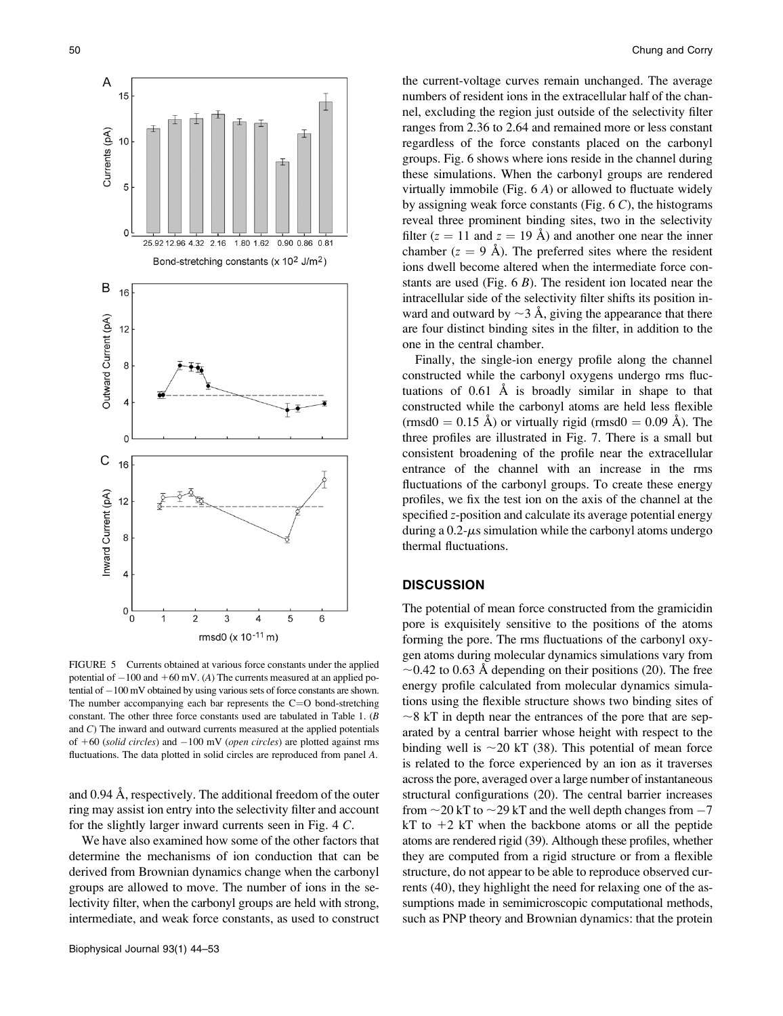

FIGURE 5 Currents obtained at various force constants under the applied potential of  $-100$  and  $+60$  mV. (A) The currents measured at an applied potential of  $-100$  mV obtained by using various sets of force constants are shown. The number accompanying each bar represents the  $C=O$  bond-stretching constant. The other three force constants used are tabulated in Table 1. (B and C) The inward and outward currents measured at the applied potentials of  $+60$  (solid circles) and  $-100$  mV (open circles) are plotted against rms fluctuations. The data plotted in solid circles are reproduced from panel A.

and  $0.94 \text{ Å}$ , respectively. The additional freedom of the outer ring may assist ion entry into the selectivity filter and account for the slightly larger inward currents seen in Fig. 4 C.

We have also examined how some of the other factors that determine the mechanisms of ion conduction that can be derived from Brownian dynamics change when the carbonyl groups are allowed to move. The number of ions in the selectivity filter, when the carbonyl groups are held with strong, intermediate, and weak force constants, as used to construct the current-voltage curves remain unchanged. The average numbers of resident ions in the extracellular half of the channel, excluding the region just outside of the selectivity filter ranges from 2.36 to 2.64 and remained more or less constant regardless of the force constants placed on the carbonyl groups. Fig. 6 shows where ions reside in the channel during these simulations. When the carbonyl groups are rendered virtually immobile (Fig. 6 A) or allowed to fluctuate widely by assigning weak force constants (Fig.  $6 C$ ), the histograms reveal three prominent binding sites, two in the selectivity filter ( $z = 11$  and  $z = 19$  Å) and another one near the inner chamber ( $z = 9$  Å). The preferred sites where the resident ions dwell become altered when the intermediate force constants are used (Fig.  $6B$ ). The resident ion located near the intracellular side of the selectivity filter shifts its position inward and outward by  $\sim$ 3 Å, giving the appearance that there are four distinct binding sites in the filter, in addition to the one in the central chamber.

Finally, the single-ion energy profile along the channel constructed while the carbonyl oxygens undergo rms fluctuations of  $0.61$  Å is broadly similar in shape to that constructed while the carbonyl atoms are held less flexible (rmsd0 = 0.15 Å) or virtually rigid (rmsd0 = 0.09 Å). The three profiles are illustrated in Fig. 7. There is a small but consistent broadening of the profile near the extracellular entrance of the channel with an increase in the rms fluctuations of the carbonyl groups. To create these energy profiles, we fix the test ion on the axis of the channel at the specified z-position and calculate its average potential energy during a  $0.2 - \mu s$  simulation while the carbonyl atoms undergo thermal fluctuations.

# **DISCUSSION**

The potential of mean force constructed from the gramicidin pore is exquisitely sensitive to the positions of the atoms forming the pore. The rms fluctuations of the carbonyl oxygen atoms during molecular dynamics simulations vary from  $\sim$ 0.42 to 0.63 Å depending on their positions (20). The free energy profile calculated from molecular dynamics simulations using the flexible structure shows two binding sites of  $\sim$ 8 kT in depth near the entrances of the pore that are separated by a central barrier whose height with respect to the binding well is  $\sim$ 20 kT (38). This potential of mean force is related to the force experienced by an ion as it traverses across the pore, averaged over a large number of instantaneous structural configurations (20). The central barrier increases from  $\sim$  20 kT to  $\sim$  29 kT and the well depth changes from  $-7$ kT to  $+2$  kT when the backbone atoms or all the peptide atoms are rendered rigid (39). Although these profiles, whether they are computed from a rigid structure or from a flexible structure, do not appear to be able to reproduce observed currents (40), they highlight the need for relaxing one of the assumptions made in semimicroscopic computational methods, such as PNP theory and Brownian dynamics: that the protein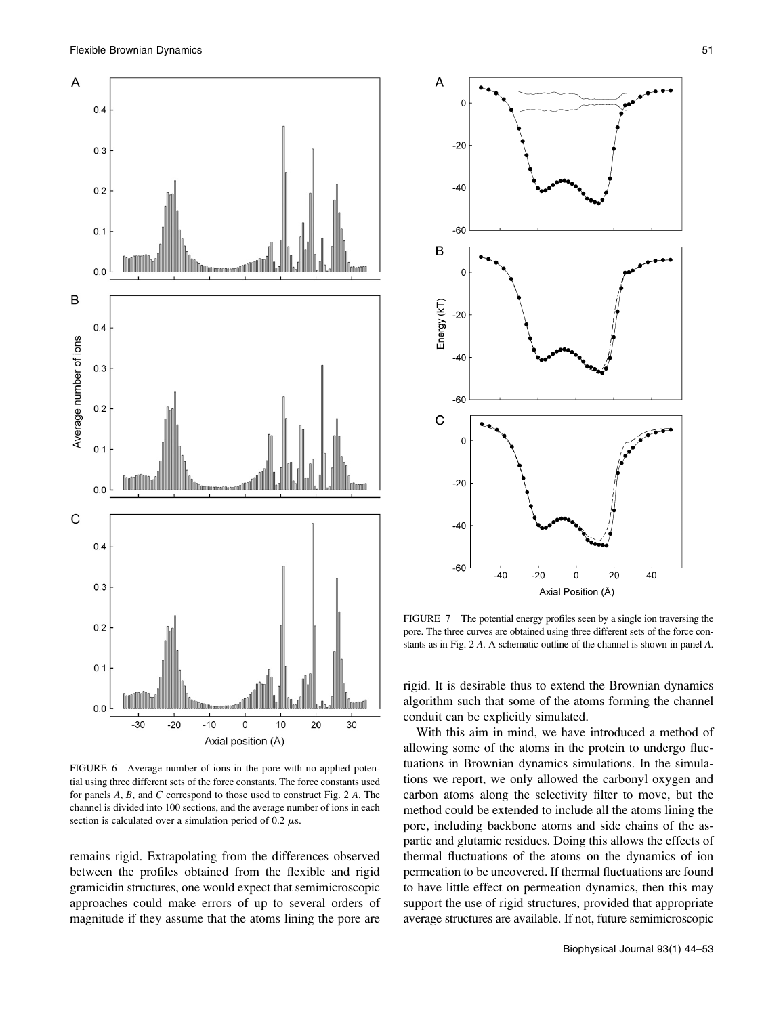

FIGURE 6 Average number of ions in the pore with no applied potential using three different sets of the force constants. The force constants used for panels A, B, and C correspond to those used to construct Fig. 2 A. The channel is divided into 100 sections, and the average number of ions in each section is calculated over a simulation period of 0.2  $\mu$ s.

remains rigid. Extrapolating from the differences observed between the profiles obtained from the flexible and rigid gramicidin structures, one would expect that semimicroscopic approaches could make errors of up to several orders of magnitude if they assume that the atoms lining the pore are



FIGURE 7 The potential energy profiles seen by a single ion traversing the pore. The three curves are obtained using three different sets of the force constants as in Fig. 2 A. A schematic outline of the channel is shown in panel A.

rigid. It is desirable thus to extend the Brownian dynamics algorithm such that some of the atoms forming the channel conduit can be explicitly simulated.

With this aim in mind, we have introduced a method of allowing some of the atoms in the protein to undergo fluctuations in Brownian dynamics simulations. In the simulations we report, we only allowed the carbonyl oxygen and carbon atoms along the selectivity filter to move, but the method could be extended to include all the atoms lining the pore, including backbone atoms and side chains of the aspartic and glutamic residues. Doing this allows the effects of thermal fluctuations of the atoms on the dynamics of ion permeation to be uncovered. If thermal fluctuations are found to have little effect on permeation dynamics, then this may support the use of rigid structures, provided that appropriate average structures are available. If not, future semimicroscopic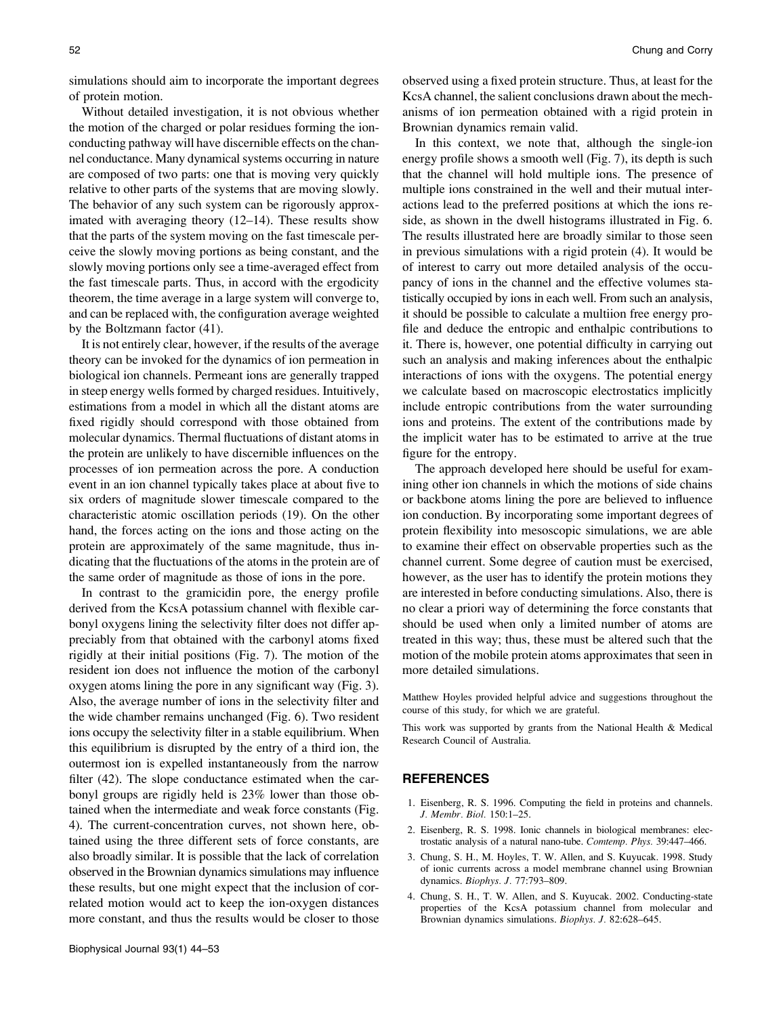simulations should aim to incorporate the important degrees of protein motion.

Without detailed investigation, it is not obvious whether the motion of the charged or polar residues forming the ionconducting pathway will have discernible effects on the channel conductance. Many dynamical systems occurring in nature are composed of two parts: one that is moving very quickly relative to other parts of the systems that are moving slowly. The behavior of any such system can be rigorously approximated with averaging theory (12–14). These results show that the parts of the system moving on the fast timescale perceive the slowly moving portions as being constant, and the slowly moving portions only see a time-averaged effect from the fast timescale parts. Thus, in accord with the ergodicity theorem, the time average in a large system will converge to, and can be replaced with, the configuration average weighted by the Boltzmann factor (41).

It is not entirely clear, however, if the results of the average theory can be invoked for the dynamics of ion permeation in biological ion channels. Permeant ions are generally trapped in steep energy wells formed by charged residues. Intuitively, estimations from a model in which all the distant atoms are fixed rigidly should correspond with those obtained from molecular dynamics. Thermal fluctuations of distant atoms in the protein are unlikely to have discernible influences on the processes of ion permeation across the pore. A conduction event in an ion channel typically takes place at about five to six orders of magnitude slower timescale compared to the characteristic atomic oscillation periods (19). On the other hand, the forces acting on the ions and those acting on the protein are approximately of the same magnitude, thus indicating that the fluctuations of the atoms in the protein are of the same order of magnitude as those of ions in the pore.

In contrast to the gramicidin pore, the energy profile derived from the KcsA potassium channel with flexible carbonyl oxygens lining the selectivity filter does not differ appreciably from that obtained with the carbonyl atoms fixed rigidly at their initial positions (Fig. 7). The motion of the resident ion does not influence the motion of the carbonyl oxygen atoms lining the pore in any significant way (Fig. 3). Also, the average number of ions in the selectivity filter and the wide chamber remains unchanged (Fig. 6). Two resident ions occupy the selectivity filter in a stable equilibrium. When this equilibrium is disrupted by the entry of a third ion, the outermost ion is expelled instantaneously from the narrow filter (42). The slope conductance estimated when the carbonyl groups are rigidly held is 23% lower than those obtained when the intermediate and weak force constants (Fig. 4). The current-concentration curves, not shown here, obtained using the three different sets of force constants, are also broadly similar. It is possible that the lack of correlation observed in the Brownian dynamics simulations may influence these results, but one might expect that the inclusion of correlated motion would act to keep the ion-oxygen distances more constant, and thus the results would be closer to those observed using a fixed protein structure. Thus, at least for the KcsA channel, the salient conclusions drawn about the mechanisms of ion permeation obtained with a rigid protein in Brownian dynamics remain valid.

In this context, we note that, although the single-ion energy profile shows a smooth well (Fig. 7), its depth is such that the channel will hold multiple ions. The presence of multiple ions constrained in the well and their mutual interactions lead to the preferred positions at which the ions reside, as shown in the dwell histograms illustrated in Fig. 6. The results illustrated here are broadly similar to those seen in previous simulations with a rigid protein (4). It would be of interest to carry out more detailed analysis of the occupancy of ions in the channel and the effective volumes statistically occupied by ions in each well. From such an analysis, it should be possible to calculate a multiion free energy profile and deduce the entropic and enthalpic contributions to it. There is, however, one potential difficulty in carrying out such an analysis and making inferences about the enthalpic interactions of ions with the oxygens. The potential energy we calculate based on macroscopic electrostatics implicitly include entropic contributions from the water surrounding ions and proteins. The extent of the contributions made by the implicit water has to be estimated to arrive at the true figure for the entropy.

The approach developed here should be useful for examining other ion channels in which the motions of side chains or backbone atoms lining the pore are believed to influence ion conduction. By incorporating some important degrees of protein flexibility into mesoscopic simulations, we are able to examine their effect on observable properties such as the channel current. Some degree of caution must be exercised, however, as the user has to identify the protein motions they are interested in before conducting simulations. Also, there is no clear a priori way of determining the force constants that should be used when only a limited number of atoms are treated in this way; thus, these must be altered such that the motion of the mobile protein atoms approximates that seen in more detailed simulations.

Matthew Hoyles provided helpful advice and suggestions throughout the course of this study, for which we are grateful.

This work was supported by grants from the National Health & Medical Research Council of Australia.

## **REFERENCES**

- 1. Eisenberg, R. S. 1996. Computing the field in proteins and channels. J. Membr. Biol. 150:1–25.
- 2. Eisenberg, R. S. 1998. Ionic channels in biological membranes: electrostatic analysis of a natural nano-tube. Comtemp. Phys. 39:447–466.
- 3. Chung, S. H., M. Hoyles, T. W. Allen, and S. Kuyucak. 1998. Study of ionic currents across a model membrane channel using Brownian dynamics. Biophys. J. 77:793–809.
- 4. Chung, S. H., T. W. Allen, and S. Kuyucak. 2002. Conducting-state properties of the KcsA potassium channel from molecular and Brownian dynamics simulations. Biophys. J. 82:628–645.